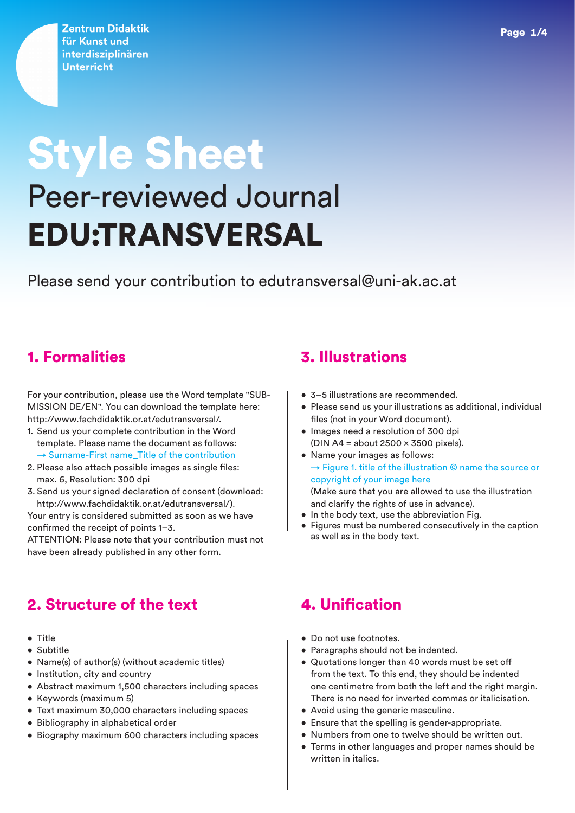**Zentrum Didaktik** für Kunst und interdisziplinären **Unterricht** 

# Style Sheet Peer-reviewed Journal EDU:TRANSVERSAL

Please send your contribution to edutransversal@uni-ak.ac.at

For your contribution, please use the Word template "SUB-MISSION DE/EN". You can download the template here: http://www.fachdidaktik.or.at/edutransversal/.

- 1. Send us your complete contribution in the Word template. Please name the document as follows:  $\rightarrow$  Surname-First name Title of the contribution
- 2. Please also attach possible images as single files: max. 6, Resolution: 300 dpi
- 3. Send us your signed declaration of consent (download: http://www.fachdidaktik.or.at/edutransversal/).

Your entry is considered submitted as soon as we have confirmed the receipt of points 1–3.

ATTENTION: Please note that your contribution must not have been already published in any other form.

### 2. Structure of the text

- Title
- Subtitle
- Name(s) of author(s) (without academic titles)
- Institution, city and country
- Abstract maximum 1,500 characters including spaces
- Keywords (maximum 5)
- Text maximum 30,000 characters including spaces
- Bibliography in alphabetical order
- Biography maximum 600 characters including spaces

### 1. Formalities 3. Illustrations

- 3–5 illustrations are recommended.
- Please send us your illustrations as additional, individual files (not in your Word document).
- Images need a resolution of 300 dpi (DIN A4 = about  $2500 \times 3500$  pixels).
- Name your images as follows: → Figure 1. title of the illustration © name the source or copyright of your image here

(Make sure that you are allowed to use the illustration and clarify the rights of use in advance).

- In the body text, use the abbreviation Fig.
- Figures must be numbered consecutively in the caption as well as in the body text.

## 4. Unification

- Do not use footnotes.
- Paragraphs should not be indented.
- Quotations longer than 40 words must be set off from the text. To this end, they should be indented one centimetre from both the left and the right margin. There is no need for inverted commas or italicisation.
- Avoid using the generic masculine.
- Ensure that the spelling is gender-appropriate.
- Numbers from one to twelve should be written out.
- Terms in other languages and proper names should be written in italics.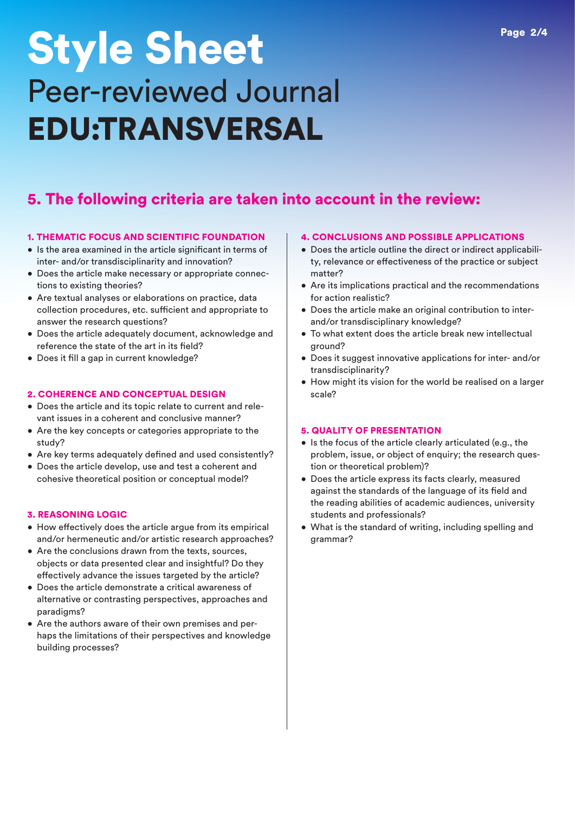## Style Sheet Peer-reviewed Journal EDU:TRANSVERSAL

### 5. The following criteria are taken into account in the review:

#### 1. THEMATIC FOCUS AND SCIENTIFIC FOUNDATION

- Is the area examined in the article significant in terms of inter- and/or transdisciplinarity and innovation?
- Does the article make necessary or appropriate connections to existing theories?
- Are textual analyses or elaborations on practice, data collection procedures, etc. sufficient and appropriate to answer the research questions?
- Does the article adequately document, acknowledge and reference the state of the art in its field?
- Does it fill a gap in current knowledge?

#### 2. COHERENCE AND CONCEPTUAL DESIGN

- Does the article and its topic relate to current and relevant issues in a coherent and conclusive manner?
- Are the key concepts or categories appropriate to the study?
- Are key terms adequately defined and used consistently?
- Does the article develop, use and test a coherent and cohesive theoretical position or conceptual model?

#### 3. REASONING LOGIC

- How effectively does the article argue from its empirical and/or hermeneutic and/or artistic research approaches?
- Are the conclusions drawn from the texts, sources, objects or data presented clear and insightful? Do they effectively advance the issues targeted by the article?
- Does the article demonstrate a critical awareness of alternative or contrasting perspectives, approaches and paradigms?
- Are the authors aware of their own premises and perhaps the limitations of their perspectives and knowledge building processes?

#### 4. CONCLUSIONS AND POSSIBLE APPLICATIONS

- Does the article outline the direct or indirect applicability, relevance or effectiveness of the practice or subject matter?
- Are its implications practical and the recommendations for action realistic?
- Does the article make an original contribution to interand/or transdisciplinary knowledge?
- To what extent does the article break new intellectual ground?
- Does it suggest innovative applications for inter- and/or transdisciplinarity?
- How might its vision for the world be realised on a larger scale?

#### 5. QUALITY OF PRESENTATION

- Is the focus of the article clearly articulated (e.g., the problem, issue, or object of enquiry; the research question or theoretical problem)?
- Does the article express its facts clearly, measured against the standards of the language of its field and the reading abilities of academic audiences, university students and professionals?
- What is the standard of writing, including spelling and grammar?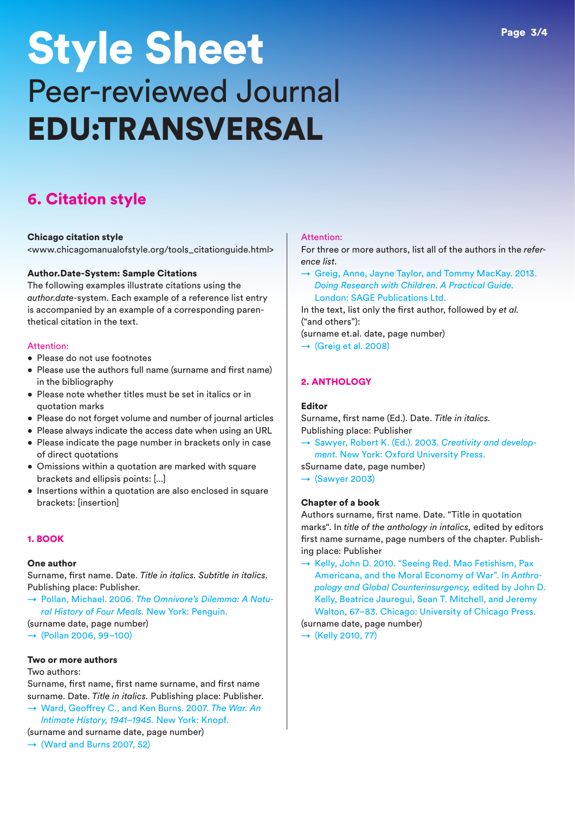## Style Sheet Peer-reviewed Journal EDU:TRANSVERSAL

## 6. Citation style

#### Chicago citation style

<www.chicagomanualofstyle.org/tools\_citationguide.html>

#### Author.Date-System: Sample Citations

The following examples illustrate citations using the *author.date*-system. Each example of a reference list entry is accompanied by an example of a corresponding parenthetical citation in the text.

#### Attention:

- Please do not use footnotes
- Please use the authors full name (surname and first name) in the bibliography
- Please note whether titles must be set in italics or in quotation marks
- Please do not forget volume and number of journal articles
- Please always indicate the access date when using an URL
- Please indicate the page number in brackets only in case of direct quotations
- Omissions within a quotation are marked with square brackets and ellipsis points: [...]
- Insertions within a quotation are also enclosed in square brackets: [insertion]

#### 1. BOOK

#### One author

Surname, first name. Date. *Title in italics. Subtitle in italics.* Publishing place: Publisher.

- → Pollan, Michael. 2006. *The Omnivore's Dilemma: A Natural History of Four Meals.* New York: Penguin.
- (surname date, page number)
- $\rightarrow$  (Pollan 2006, 99-100)

### Two or more authors

#### Two authors:

Surname, first name, first name surname, and first name surname. Date. *Title in italics.* Publishing place: Publisher.

→ Ward, Geoffrey C., and Ken Burns. 2007. *The War. An Intimate History, 1941–1945.* New York: Knopf.

(surname and surname date, page number)

 $\rightarrow$  (Ward and Burns 2007, 52)

#### Attention:

For three or more authors, list all of the authors in the *reference list*.

 $\rightarrow$  Greig, Anne, Jayne Taylor, and Tommy MacKay. 2013. *Doing Research with Children. A Practical Guide.* London: SAGE Publications Ltd.

In the text, list only the first author, followed by *et al.* ("and others"):

- (surname et.al. date, page number)
- $\rightarrow$  (Greig et al. 2008)

#### 2. ANTHOLOGY

#### Editor

Surname, first name (Ed.). Date. *Title in italics.* Publishing place: Publisher

→ Sawyer, Robert K. (Ed.). 2003. *Creativity and development.* New York: Oxford University Press.

sSurname date, page number)

 $\rightarrow$  (Sawyer 2003)

#### Chapter of a book

Authors surname, first name. Date. "Title in quotation marks". In *title of the anthology in intalics,* edited by editors first name surname, page numbers of the chapter. Publishing place: Publisher

→ Kelly, John D. 2010. "Seeing Red. Mao Fetishism, Pax Americana, and the Moral Economy of War". In *Anthropology and Global Counterinsurgency,* edited by John D. Kelly, Beatrice Jauregui, Sean T. Mitchell, and Jeremy Walton, 67–83. Chicago: University of Chicago Press.

#### (surname date, page number)

 $\rightarrow$  (Kelly 2010, 77)